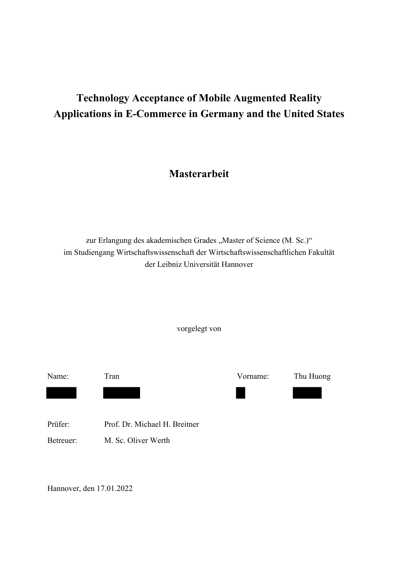# **Technology Acceptance of Mobile Augmented Reality Applications in E-Commerce in Germany and the United States**

## **Masterarbeit**

zur Erlangung des akademischen Grades "Master of Science (M. Sc.)" im Studiengang Wirtschaftswissenschaft der Wirtschaftswissenschaftlichen Fakultät der Leibniz Universität Hannover

vorgelegt von

| Name:     | Tran                          | Vorname: | Thu Huong |
|-----------|-------------------------------|----------|-----------|
|           |                               |          |           |
|           |                               |          |           |
| Prüfer:   | Prof. Dr. Michael H. Breitner |          |           |
| Betreuer: | M. Sc. Oliver Werth           |          |           |
|           |                               |          |           |

Hannover, den 17.01.2022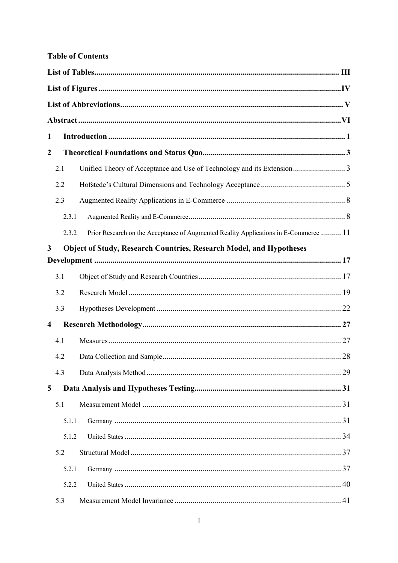#### **Table of Contents**

| $\mathbf{1}$     |       |                                                                                      |  |  |
|------------------|-------|--------------------------------------------------------------------------------------|--|--|
| $\boldsymbol{2}$ |       |                                                                                      |  |  |
|                  | 2.1   |                                                                                      |  |  |
|                  | 2.2   |                                                                                      |  |  |
|                  | 2.3   |                                                                                      |  |  |
|                  | 2.3.1 |                                                                                      |  |  |
|                  | 2.3.2 | Prior Research on the Acceptance of Augmented Reality Applications in E-Commerce  11 |  |  |
| 3                |       | <b>Object of Study, Research Countries, Research Model, and Hypotheses</b>           |  |  |
|                  |       |                                                                                      |  |  |
|                  | 3.1   |                                                                                      |  |  |
|                  | 3.2   |                                                                                      |  |  |
|                  | 3.3   |                                                                                      |  |  |
| 4                |       |                                                                                      |  |  |
|                  | 4.1   |                                                                                      |  |  |
|                  | 4.2   |                                                                                      |  |  |
|                  | 4.3   |                                                                                      |  |  |
| 5                |       |                                                                                      |  |  |
|                  | 5.1   |                                                                                      |  |  |
|                  | 5.1.1 |                                                                                      |  |  |
|                  | 5.1.2 |                                                                                      |  |  |
|                  | 5.2   |                                                                                      |  |  |
|                  | 5.2.1 |                                                                                      |  |  |
|                  | 5.2.2 |                                                                                      |  |  |
|                  | 5.3   |                                                                                      |  |  |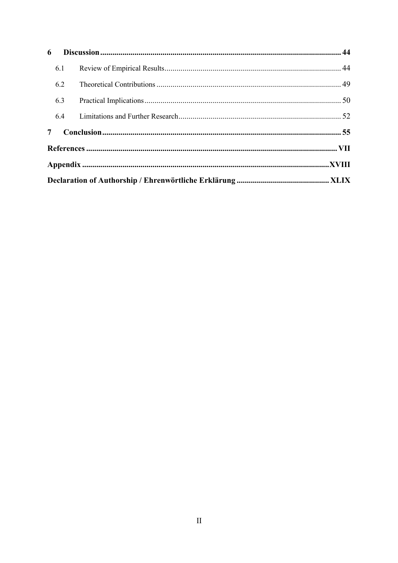| 6              |     |  |  |
|----------------|-----|--|--|
|                | 6.1 |  |  |
|                | 6.2 |  |  |
|                | 6.3 |  |  |
|                | 6.4 |  |  |
| 7 <sup>7</sup> |     |  |  |
|                |     |  |  |
|                |     |  |  |
|                |     |  |  |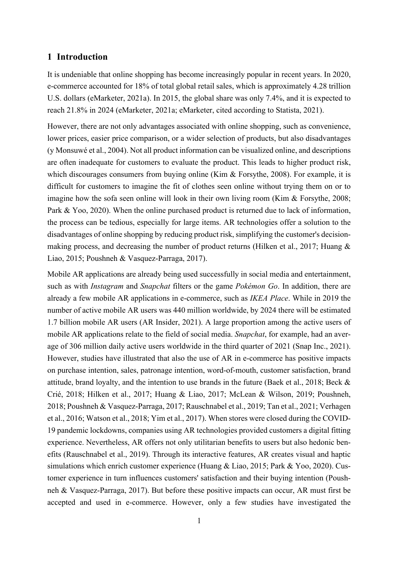#### **1 Introduction**

It is undeniable that online shopping has become increasingly popular in recent years. In 2020, e-commerce accounted for 18% of total global retail sales, which is approximately 4.28 trillion U.S. dollars (eMarketer, 2021a). In 2015, the global share was only 7.4%, and it is expected to reach 21.8% in 2024 (eMarketer, 2021a; eMarketer, cited according to Statista, 2021).

However, there are not only advantages associated with online shopping, such as convenience, lower prices, easier price comparison, or a wider selection of products, but also disadvantages (y Monsuwé et al., 2004). Not all product information can be visualized online, and descriptions are often inadequate for customers to evaluate the product. This leads to higher product risk, which discourages consumers from buying online (Kim & Forsythe, 2008). For example, it is difficult for customers to imagine the fit of clothes seen online without trying them on or to imagine how the sofa seen online will look in their own living room (Kim & Forsythe, 2008; Park & Yoo, 2020). When the online purchased product is returned due to lack of information, the process can be tedious, especially for large items. AR technologies offer a solution to the disadvantages of online shopping by reducing product risk, simplifying the customer's decisionmaking process, and decreasing the number of product returns (Hilken et al., 2017; Huang & Liao, 2015; Poushneh & Vasquez-Parraga, 2017).

Mobile AR applications are already being used successfully in social media and entertainment, such as with *Instagram* and *Snapchat* filters or the game *Pokémon Go*. In addition, there are already a few mobile AR applications in e-commerce, such as *IKEA Place*. While in 2019 the number of active mobile AR users was 440 million worldwide, by 2024 there will be estimated 1.7 billion mobile AR users (AR Insider, 2021). A large proportion among the active users of mobile AR applications relate to the field of social media. *Snapchat*, for example, had an average of 306 million daily active users worldwide in the third quarter of 2021 (Snap Inc., 2021). However, studies have illustrated that also the use of AR in e-commerce has positive impacts on purchase intention, sales, patronage intention, word-of-mouth, customer satisfaction, brand attitude, brand loyalty, and the intention to use brands in the future (Baek et al., 2018; Beck & Crié, 2018; Hilken et al., 2017; Huang & Liao, 2017; McLean & Wilson, 2019; Poushneh, 2018; Poushneh & Vasquez-Parraga, 2017; Rauschnabel et al., 2019; Tan et al., 2021; Verhagen et al., 2016; Watson et al., 2018; Yim et al., 2017). When stores were closed during the COVID-19 pandemic lockdowns, companies using AR technologies provided customers a digital fitting experience. Nevertheless, AR offers not only utilitarian benefits to users but also hedonic benefits (Rauschnabel et al., 2019). Through its interactive features, AR creates visual and haptic simulations which enrich customer experience (Huang & Liao, 2015; Park & Yoo, 2020). Customer experience in turn influences customers' satisfaction and their buying intention (Poushneh & Vasquez-Parraga, 2017). But before these positive impacts can occur, AR must first be accepted and used in e-commerce. However, only a few studies have investigated the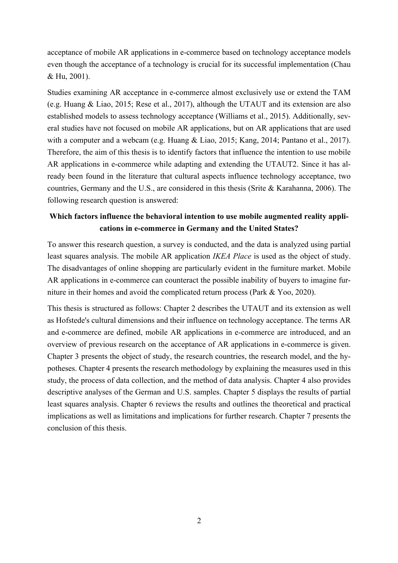acceptance of mobile AR applications in e-commerce based on technology acceptance models even though the acceptance of a technology is crucial for its successful implementation (Chau & Hu, 2001).

Studies examining AR acceptance in e-commerce almost exclusively use or extend the TAM (e.g. Huang & Liao, 2015; Rese et al., 2017), although the UTAUT and its extension are also established models to assess technology acceptance (Williams et al., 2015). Additionally, several studies have not focused on mobile AR applications, but on AR applications that are used with a computer and a webcam (e.g. Huang & Liao, 2015; Kang, 2014; Pantano et al., 2017). Therefore, the aim of this thesis is to identify factors that influence the intention to use mobile AR applications in e-commerce while adapting and extending the UTAUT2. Since it has already been found in the literature that cultural aspects influence technology acceptance, two countries, Germany and the U.S., are considered in this thesis (Srite & Karahanna, 2006). The following research question is answered:

### **Which factors influence the behavioral intention to use mobile augmented reality applications in e-commerce in Germany and the United States?**

To answer this research question, a survey is conducted, and the data is analyzed using partial least squares analysis. The mobile AR application *IKEA Place* is used as the object of study. The disadvantages of online shopping are particularly evident in the furniture market. Mobile AR applications in e-commerce can counteract the possible inability of buyers to imagine furniture in their homes and avoid the complicated return process (Park & Yoo, 2020).

This thesis is structured as follows: Chapter 2 describes the UTAUT and its extension as well as Hofstede's cultural dimensions and their influence on technology acceptance. The terms AR and e-commerce are defined, mobile AR applications in e-commerce are introduced, and an overview of previous research on the acceptance of AR applications in e-commerce is given. Chapter 3 presents the object of study, the research countries, the research model, and the hypotheses. Chapter 4 presents the research methodology by explaining the measures used in this study, the process of data collection, and the method of data analysis. Chapter 4 also provides descriptive analyses of the German and U.S. samples. Chapter 5 displays the results of partial least squares analysis. Chapter 6 reviews the results and outlines the theoretical and practical implications as well as limitations and implications for further research. Chapter 7 presents the conclusion of this thesis.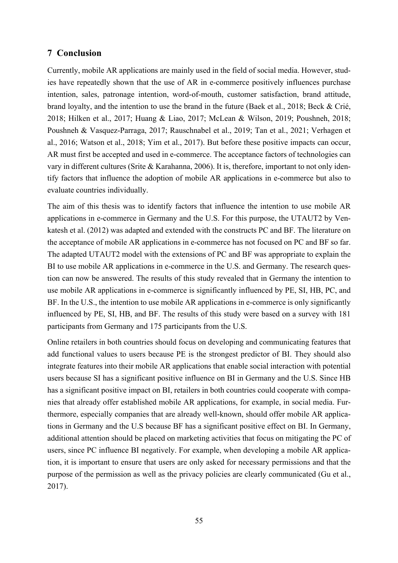#### **7 Conclusion**

Currently, mobile AR applications are mainly used in the field of social media. However, studies have repeatedly shown that the use of AR in e-commerce positively influences purchase intention, sales, patronage intention, word-of-mouth, customer satisfaction, brand attitude, brand loyalty, and the intention to use the brand in the future (Baek et al., 2018; Beck & Crié, 2018; Hilken et al., 2017; Huang & Liao, 2017; McLean & Wilson, 2019; Poushneh, 2018; Poushneh & Vasquez-Parraga, 2017; Rauschnabel et al., 2019; Tan et al., 2021; Verhagen et al., 2016; Watson et al., 2018; Yim et al., 2017). But before these positive impacts can occur, AR must first be accepted and used in e-commerce. The acceptance factors of technologies can vary in different cultures (Srite & Karahanna, 2006). It is, therefore, important to not only identify factors that influence the adoption of mobile AR applications in e-commerce but also to evaluate countries individually.

The aim of this thesis was to identify factors that influence the intention to use mobile AR applications in e-commerce in Germany and the U.S. For this purpose, the UTAUT2 by Venkatesh et al. (2012) was adapted and extended with the constructs PC and BF. The literature on the acceptance of mobile AR applications in e-commerce has not focused on PC and BF so far. The adapted UTAUT2 model with the extensions of PC and BF was appropriate to explain the BI to use mobile AR applications in e-commerce in the U.S. and Germany. The research question can now be answered. The results of this study revealed that in Germany the intention to use mobile AR applications in e-commerce is significantly influenced by PE, SI, HB, PC, and BF. In the U.S., the intention to use mobile AR applications in e-commerce is only significantly influenced by PE, SI, HB, and BF. The results of this study were based on a survey with 181 participants from Germany and 175 participants from the U.S.

Online retailers in both countries should focus on developing and communicating features that add functional values to users because PE is the strongest predictor of BI. They should also integrate features into their mobile AR applications that enable social interaction with potential users because SI has a significant positive influence on BI in Germany and the U.S. Since HB has a significant positive impact on BI, retailers in both countries could cooperate with companies that already offer established mobile AR applications, for example, in social media. Furthermore, especially companies that are already well-known, should offer mobile AR applications in Germany and the U.S because BF has a significant positive effect on BI. In Germany, additional attention should be placed on marketing activities that focus on mitigating the PC of users, since PC influence BI negatively. For example, when developing a mobile AR application, it is important to ensure that users are only asked for necessary permissions and that the purpose of the permission as well as the privacy policies are clearly communicated (Gu et al., 2017).